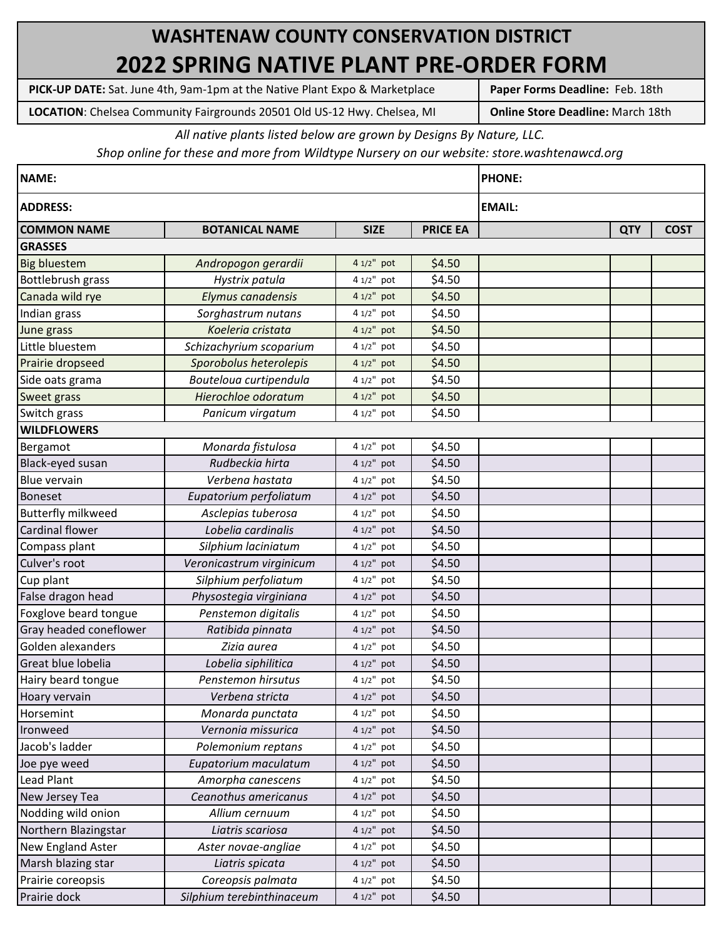## **WASHTENAW COUNTY CONSERVATION DISTRICT 2022 SPRING NATIVE PLANT PRE-ORDER FORM**

**PICK-UP DATE:** Sat. June 4th, 9am-1pm at the Native Plant Expo & Marketplace

**Paper Forms Deadline:** Feb. 18th

**Online Store Deadline:** March 18th **LOCATION**: Chelsea Community Fairgrounds 20501 Old US-12 Hwy. Chelsea, MI

*All native plants listed below are grown by Designs By Nature, LLC.* 

*Shop online for these and more from Wildtype Nursery on our website: store.washtenawcd.org*

| <b>NAME:</b>              |                           |              |                 | <b>PHONE:</b> |             |  |
|---------------------------|---------------------------|--------------|-----------------|---------------|-------------|--|
| <b>ADDRESS:</b>           |                           |              |                 | <b>EMAIL:</b> |             |  |
| <b>COMMON NAME</b>        | <b>BOTANICAL NAME</b>     | <b>SIZE</b>  | <b>PRICE EA</b> | <b>QTY</b>    | <b>COST</b> |  |
| <b>GRASSES</b>            |                           |              |                 |               |             |  |
| <b>Big bluestem</b>       | Andropogon gerardii       | 4 1/2" pot   | \$4.50          |               |             |  |
| Bottlebrush grass         | Hystrix patula            | $41/2"$ pot  | \$4.50          |               |             |  |
| Canada wild rye           | Elymus canadensis         | 4 1/2" pot   | \$4.50          |               |             |  |
| Indian grass              | Sorghastrum nutans        | 4 1/2" pot   | \$4.50          |               |             |  |
| June grass                | Koeleria cristata         | 4 1/2" pot   | \$4.50          |               |             |  |
| Little bluestem           | Schizachyrium scoparium   | 4 1/2" pot   | \$4.50          |               |             |  |
| Prairie dropseed          | Sporobolus heterolepis    | 4 1/2" pot   | \$4.50          |               |             |  |
| Side oats grama           | Bouteloua curtipendula    | 4 1/2" pot   | \$4.50          |               |             |  |
| Sweet grass               | Hierochloe odoratum       | $41/2"$ pot  | \$4.50          |               |             |  |
| Switch grass              | Panicum virgatum          | 4 1/2" pot   | \$4.50          |               |             |  |
| <b>WILDFLOWERS</b>        |                           |              |                 |               |             |  |
| Bergamot                  | Monarda fistulosa         | 4 1/2" pot   | \$4.50          |               |             |  |
| Black-eyed susan          | Rudbeckia hirta           | 4 1/2" pot   | \$4.50          |               |             |  |
| Blue vervain              | Verbena hastata           | 4 1/2" pot   | \$4.50          |               |             |  |
| Boneset                   | Eupatorium perfoliatum    | 4 1/2" pot   | \$4.50          |               |             |  |
| <b>Butterfly milkweed</b> | Asclepias tuberosa        | 4 1/2" pot   | \$4.50          |               |             |  |
| Cardinal flower           | Lobelia cardinalis        | 4 1/2" pot   | \$4.50          |               |             |  |
| Compass plant             | Silphium laciniatum       | 4 1/2" pot   | \$4.50          |               |             |  |
| Culver's root             | Veronicastrum virginicum  | 4 1/2" pot   | \$4.50          |               |             |  |
| Cup plant                 | Silphium perfoliatum      | 4 1/2" pot   | \$4.50          |               |             |  |
| False dragon head         | Physostegia virginiana    | 4 1/2" pot   | \$4.50          |               |             |  |
| Foxglove beard tongue     | Penstemon digitalis       | 4 1/2" pot   | \$4.50          |               |             |  |
| Gray headed coneflower    | Ratibida pinnata          | 4 1/2" pot   | \$4.50          |               |             |  |
| Golden alexanders         | Zizia aurea               | 4 1/2" pot   | \$4.50          |               |             |  |
| Great blue lobelia        | Lobelia siphilitica       | 4 1/2" pot   | \$4.50          |               |             |  |
| Hairy beard tongue        | Penstemon hirsutus        | $41/2"$ pot  | \$4.50          |               |             |  |
| Hoary vervain             | Verbena stricta           | 4 1/2" pot   | \$4.50          |               |             |  |
| Horsemint                 | Monarda punctata          | $41/2"$ pot  | \$4.50          |               |             |  |
| Ironweed                  | Vernonia missurica        | 4 1/2" pot   | \$4.50          |               |             |  |
| Jacob's ladder            | Polemonium reptans        | $41/2"$ pot  | \$4.50          |               |             |  |
| Joe pye weed              | Eupatorium maculatum      | $41/2"$ pot  | \$4.50          |               |             |  |
| Lead Plant                | Amorpha canescens         | $41/2"$ pot  | \$4.50          |               |             |  |
| New Jersey Tea            | Ceanothus americanus      | $41/2"$ pot  | \$4.50          |               |             |  |
| Nodding wild onion        | Allium cernuum            | $41/2"$ pot  | \$4.50          |               |             |  |
| Northern Blazingstar      | Liatris scariosa          | $41/2"$ pot  | \$4.50          |               |             |  |
| New England Aster         | Aster novae-angliae       | $41/2"$ pot  | \$4.50          |               |             |  |
| Marsh blazing star        | Liatris spicata           | $41/2"$ pot  | \$4.50          |               |             |  |
| Prairie coreopsis         | Coreopsis palmata         | 4 1/2" pot   | \$4.50          |               |             |  |
| Prairie dock              | Silphium terebinthinaceum | $41/2$ " pot | \$4.50          |               |             |  |